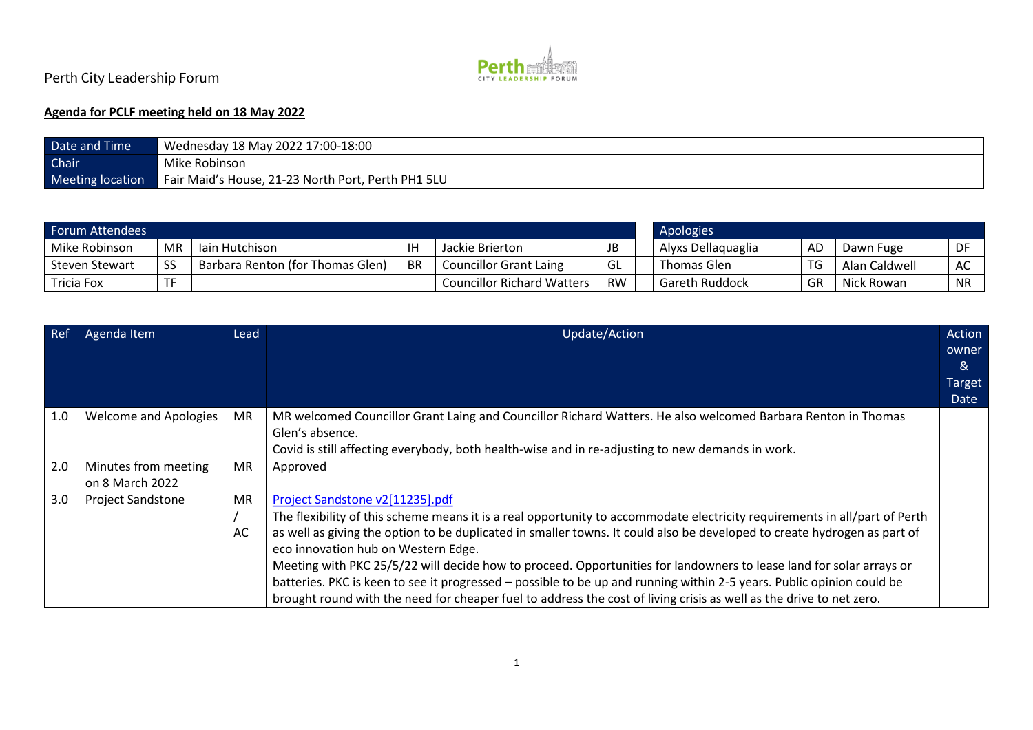

## Perth City Leadership Forum

## **Agenda for PCLF meeting held on 18 May 2022**

| Date and Time    | Wednesday 18 May 2022 17:00-18:00                  |  |  |  |  |
|------------------|----------------------------------------------------|--|--|--|--|
| Chair            | Mike Robinson                                      |  |  |  |  |
| Meeting location | Fair Maid's House, 21-23 North Port, Perth PH1 5LU |  |  |  |  |

| Forum Attendees  |           |                                  |           |                                   |           |  | Apologies             |                |               |           |
|------------------|-----------|----------------------------------|-----------|-----------------------------------|-----------|--|-----------------------|----------------|---------------|-----------|
| Mike Robinson    | <b>MR</b> | lain Hutchison                   |           | Jackie Brierton                   | JB        |  | Alyxs Dellaquaglia    | AD             | Dawn Fuge     | DF        |
| I Steven Stewart | <b>SS</b> | Barbara Renton (for Thomas Glen) | <b>BR</b> | <b>Councillor Grant Laing</b>     | GL GL     |  | Thomas Glen           | $\overline{r}$ | Alan Caldwell | AC        |
| Tricia Fox       |           |                                  |           | <b>Councillor Richard Watters</b> | <b>RW</b> |  | <b>Gareth Ruddock</b> | GR             | Nick Rowan    | <b>NR</b> |

| <b>Ref</b> | Agenda Item              | Lead      | Update/Action                                                                                                              | Action        |
|------------|--------------------------|-----------|----------------------------------------------------------------------------------------------------------------------------|---------------|
|            |                          |           |                                                                                                                            | owner         |
|            |                          |           |                                                                                                                            | ୍ୟ            |
|            |                          |           |                                                                                                                            | <b>Target</b> |
|            |                          |           |                                                                                                                            | Date          |
| 1.0        | Welcome and Apologies    | <b>MR</b> | MR welcomed Councillor Grant Laing and Councillor Richard Watters. He also welcomed Barbara Renton in Thomas               |               |
|            |                          |           | Glen's absence.                                                                                                            |               |
|            |                          |           | Covid is still affecting everybody, both health-wise and in re-adjusting to new demands in work.                           |               |
| 2.0        | Minutes from meeting     | <b>MR</b> | Approved                                                                                                                   |               |
|            | on 8 March 2022          |           |                                                                                                                            |               |
| 3.0        | <b>Project Sandstone</b> | MR.       | Project Sandstone v2[11235].pdf                                                                                            |               |
|            |                          |           | The flexibility of this scheme means it is a real opportunity to accommodate electricity requirements in all/part of Perth |               |
|            |                          | AC        | as well as giving the option to be duplicated in smaller towns. It could also be developed to create hydrogen as part of   |               |
|            |                          |           | eco innovation hub on Western Edge.                                                                                        |               |
|            |                          |           | Meeting with PKC 25/5/22 will decide how to proceed. Opportunities for landowners to lease land for solar arrays or        |               |
|            |                          |           | batteries. PKC is keen to see it progressed - possible to be up and running within 2-5 years. Public opinion could be      |               |
|            |                          |           | brought round with the need for cheaper fuel to address the cost of living crisis as well as the drive to net zero.        |               |